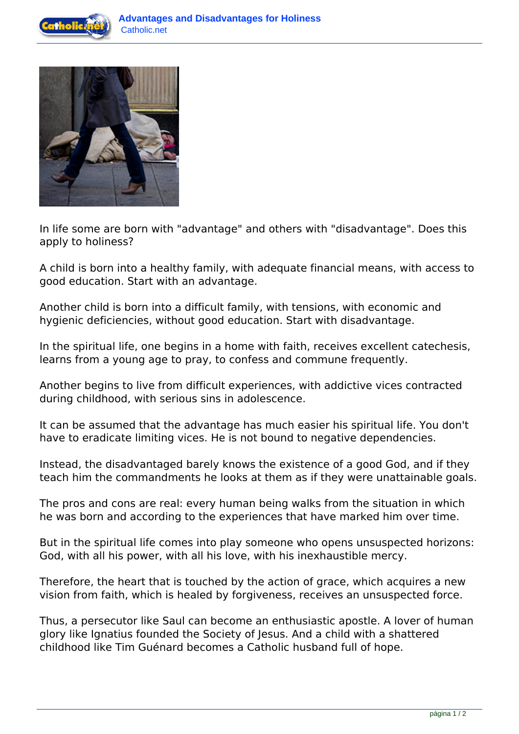



In life some are born with "advantage" and others with "disadvantage". Does this apply to holiness?

A child is born into a healthy family, with adequate financial means, with access to good education. Start with an advantage.

Another child is born into a difficult family, with tensions, with economic and hygienic deficiencies, without good education. Start with disadvantage.

In the spiritual life, one begins in a home with faith, receives excellent catechesis, learns from a young age to pray, to confess and commune frequently.

Another begins to live from difficult experiences, with addictive vices contracted during childhood, with serious sins in adolescence.

It can be assumed that the advantage has much easier his spiritual life. You don't have to eradicate limiting vices. He is not bound to negative dependencies.

Instead, the disadvantaged barely knows the existence of a good God, and if they teach him the commandments he looks at them as if they were unattainable goals.

The pros and cons are real: every human being walks from the situation in which he was born and according to the experiences that have marked him over time.

But in the spiritual life comes into play someone who opens unsuspected horizons: God, with all his power, with all his love, with his inexhaustible mercy.

Therefore, the heart that is touched by the action of grace, which acquires a new vision from faith, which is healed by forgiveness, receives an unsuspected force.

Thus, a persecutor like Saul can become an enthusiastic apostle. A lover of human glory like Ignatius founded the Society of Jesus. And a child with a shattered childhood like Tim Guénard becomes a Catholic husband full of hope.